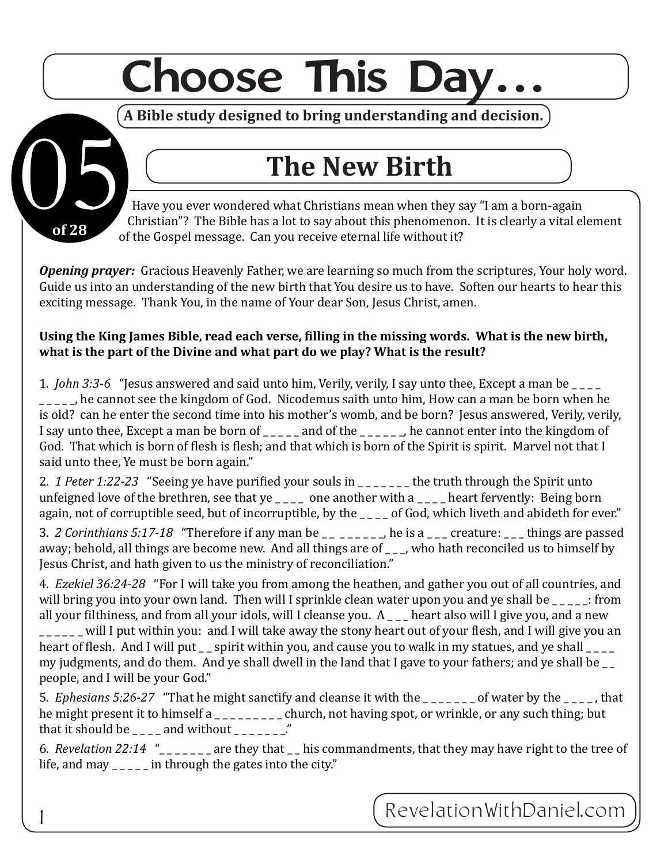## **Choose This Day…**

**A Bible study designed to bring understanding and decision.**

Have you ever wondered what Christians mean when they say "I am a born-again Christian"? The Bible has a lot to say about this phenomenon. It is clearly a vital element of the Gospel message. Can you receive eternal life without it? The New Birth<br>Have you ever wondered what Christians mean when they<br>Christian"? The Bible has a lot to say about this phenomen

*Opening prayer:* Gracious Heavenly Father, we are learning so much from the scriptures, Your holy word. Guide us into an understanding of the new birth that You desire us to have. Soften our hearts to hear this exciting message. Thank You, in the name of Your dear Son, Jesus Christ, amen.

**of 28**

11

## **Using the King James Bible, read each verse, filling in the missing words. What is the new birth, what is the part of the Divine and what part do we play? What is the result?**

1. *John 3:3-6* "Jesus answered and said unto him, Verily, verily, I say unto thee, Except a man be he cannot see the kingdom of God. Nicodemus saith unto him, How can a man be born when he is old? can he enter the second time into his mother's womb, and be born? Jesus answered, Verily, verily, I say unto thee, Except a man be born of \_\_\_\_\_ and of the \_\_\_\_\_\_, he cannot enter into the kingdom of God. That which is born of flesh is flesh; and that which is born of the Spirit is spirit. Marvel not that I said unto thee, Ye must be born again."

2. *1 Peter 1:22-23* "Seeing ye have purified your souls in \_\_\_\_\_\_ the truth through the Spirit unto unfeigned love of the brethren, see that ye  $\angle$   $\angle$   $\angle$  one another with a  $\angle$   $\angle$   $\angle$  heart fervently: Being born again, not of corruptible seed, but of incorruptible, by the \_\_\_\_ of God, which liveth and abideth for ever."

3. *2 Corinthians 5:17-18* "Therefore if any man be \_\_ \_\_\_\_\_\_, he is a \_\_\_ creature: \_\_\_ things are passed away; behold, all things are become new. And all things are of  $\overline{\phantom{a}}$  who hath reconciled us to himself by Jesus Christ, and hath given to us the ministry of reconciliation."

4. *Ezekiel 36:24-28* "For I will take you from among the heathen, and gather you out of all countries, and will bring you into your own land. Then will I sprinkle clean water upon you and ye shall be  $\frac{1}{\sqrt{2}}$ : from all your filthiness, and from all your idols, will I cleanse you.  $A$  — heart also will I give you, and a new  $\mu$   $\mu$   $\mu$   $\mu$   $\mu$   $\mu$  and i will take away the stony heart out of your flesh, and I will give you an heart of flesh. And I will put  $\angle$  spirit within you, and cause you to walk in my statues, and ye shall  $\angle$ my judgments, and do them. And ye shall dwell in the land that I gave to your fathers; and ye shall be \_\_ people, and I will be your God."

5. *Ephesians 5:26-27* "That he might sanctify and cleanse it with the \_\_\_\_\_\_\_ of water by the \_\_\_\_, that he might present it to himself a \_\_\_\_\_\_\_\_ church, not having spot, or wrinkle, or any such thing; but that it should be  $\sim$  \_ \_ \_ and without \_ \_ \_ \_ \_ \_ ."

6. *Revelation 22:14* "\_ \_ \_ \_ \_ \_ \_ are they that \_ \_ his commandments, that they may have right to the tree of life, and may  $\frac{1}{2}$  =  $\frac{1}{2}$  in through the gates into the city."

Reve lationWithDanie l.com